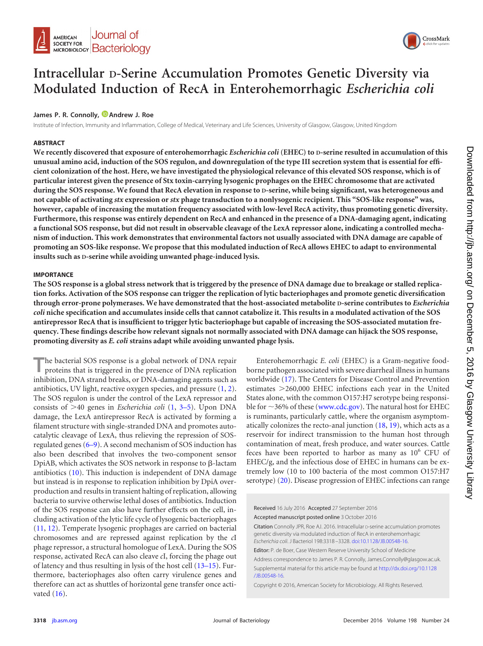



# **Intracellular D-Serine Accumulation Promotes Genetic Diversity via Modulated Induction of RecA in Enterohemorrhagic** *Escherichia coli*

### James P. R. Connolly, **D** [Andrew J. Roe](http://orcid.org/0000-0003-3698-6134)

Institute of Infection, Immunity and Inflammation, College of Medical, Veterinary and Life Sciences, University of Glasgow, Glasgow, United Kingdom

#### **ABSTRACT**

**We recently discovered that exposure of enterohemorrhagic** *Escherichia coli* **(EHEC) to D-serine resulted in accumulation of this unusual amino acid, induction of the SOS regulon, and downregulation of the type III secretion system that is essential for efficient colonization of the host. Here, we have investigated the physiological relevance of this elevated SOS response, which is of particular interest given the presence of Stx toxin-carrying lysogenic prophages on the EHEC chromosome that are activated during the SOS response. We found that RecA elevation in response to D-serine, while being significant, was heterogeneous and not capable of activating** *stx* **expression or** *stx* **phage transduction to a nonlysogenic recipient. This "SOS-like response" was, however, capable of increasing the mutation frequency associated with low-level RecA activity, thus promoting genetic diversity. Furthermore, this response was entirely dependent on RecA and enhanced in the presence of a DNA-damaging agent, indicating a functional SOS response, but did not result in observable cleavage of the LexA repressor alone, indicating a controlled mechanism of induction. This work demonstrates that environmental factors not usually associated with DNA damage are capable of promoting an SOS-like response. We propose that this modulated induction of RecA allows EHEC to adapt to environmental insults such as D-serine while avoiding unwanted phage-induced lysis.**

#### **IMPORTANCE**

**The SOS response is a global stress network that is triggered by the presence of DNA damage due to breakage or stalled replication forks. Activation of the SOS response can trigger the replication of lytic bacteriophages and promote genetic diversification through error-prone polymerases. We have demonstrated that the host-associated metabolite D-serine contributes to** *Escherichia coli* **niche specification and accumulates inside cells that cannot catabolize it. This results in a modulated activation of the SOS antirepressor RecA that is insufficient to trigger lytic bacteriophage but capable of increasing the SOS-associated mutation frequency. These findings describe how relevant signals not normally associated with DNA damage can hijack the SOS response, promoting diversity as** *E. coli* **strains adapt while avoiding unwanted phage lysis.**

**T**he bacterial SOS response is a global network of DNA repair proteins that is triggered in the presence of DNA replication inhibition, DNA strand breaks, or DNA-damaging agents such as antibiotics, UV light, reactive oxygen species, and pressure [\(1,](#page-8-0) [2\)](#page-8-1). The SOS regulon is under the control of the LexA repressor and consists of  $>40$  genes in *Escherichia coli* [\(1,](#page-8-0) [3](#page-8-2)[–](#page-8-3)[5\)](#page-8-4). Upon DNA damage, the LexA antirepressor RecA is activated by forming a filament structure with single-stranded DNA and promotes autocatalytic cleavage of LexA, thus relieving the repression of SOSregulated genes [\(6](#page-8-5)[–](#page-8-6)[9\)](#page-8-7). A second mechanism of SOS induction has also been described that involves the two-component sensor DpiAB, which activates the SOS network in response to  $\beta$ -lactam antibiotics [\(10\)](#page-8-8). This induction is independent of DNA damage but instead is in response to replication inhibition by DpiA overproduction and results in transient halting of replication, allowing bacteria to survive otherwise lethal doses of antibiotics. Induction of the SOS response can also have further effects on the cell, including activation of the lytic life cycle of lysogenic bacteriophages [\(11,](#page-8-9) [12\)](#page-8-10). Temperate lysogenic prophages are carried on bacterial chromosomes and are repressed against replication by the *c*I phage repressor, a structural homologue of LexA. During the SOS response, activated RecA can also cleave *c*I, forcing the phage out of latency and thus resulting in lysis of the host cell [\(13](#page-8-11)[–](#page-8-12)[15\)](#page-8-13). Furthermore, bacteriophages also often carry virulence genes and therefore can act as shuttles of horizontal gene transfer once activated  $(16)$ .

Enterohemorrhagic *E. coli* (EHEC) is a Gram-negative foodborne pathogen associated with severe diarrheal illness in humans worldwide [\(17\)](#page-8-15). The Centers for Disease Control and Prevention estimates > 260,000 EHEC infections each year in the United States alone, with the common O157:H7 serotype being responsible for  $\sim$ 36% of these [\(www.cdc.gov\)](http://www.cdc.gov). The natural host for EHEC is ruminants, particularly cattle, where the organism asymptomatically colonizes the recto-anal junction [\(18,](#page-8-16) [19\)](#page-8-17), which acts as a reservoir for indirect transmission to the human host through contamination of meat, fresh produce, and water sources. Cattle feces have been reported to harbor as many as  $10^6$  CFU of EHEC/g, and the infectious dose of EHEC in humans can be extremely low (10 to 100 bacteria of the most common O157:H7 serotype) [\(20\)](#page-8-18). Disease progression of EHEC infections can range

Received 16 July 2016 Accepted 27 September 2016 Accepted manuscript posted online 3 October 2016

Citation Connolly JPR, Roe AJ. 2016. Intracellular D-serine accumulation promotes genetic diversity via modulated induction of RecA in enterohemorrhagic *Escherichia coli*. J Bacteriol 198:3318 –3328. [doi:10.1128/JB.00548-16.](http://dx.doi.org/10.1128/JB.00548-16)

Editor: P. de Boer, Case Western Reserve University School of Medicine Address correspondence to James P. R. Connolly, James.Connolly@glasgow.ac.uk. Supplemental material for this article may be found at [http://dx.doi.org/10.1128](http://dx.doi.org/10.1128/JB.00548-16) [/JB.00548-16.](http://dx.doi.org/10.1128/JB.00548-16)

Copyright © 2016, American Society for Microbiology. All Rights Reserved.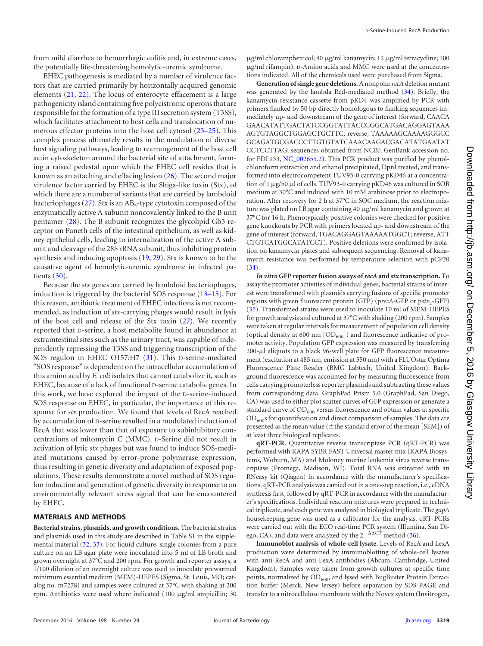from mild diarrhea to hemorrhagic colitis and, in extreme cases, the potentially life-threatening hemolytic-uremic syndrome.

EHEC pathogenesis is mediated by a number of virulence factors that are carried primarily by horizontally acquired genomic elements [\(21,](#page-8-19) [22\)](#page-8-20). The locus of enterocyte effacement is a large pathogenicity island containing five polycistronic operons that are responsible for the formation of a type III secretion system (T3SS), which facilitates attachment to host cells and translocation of numerous effector proteins into the host cell cytosol [\(23](#page-9-0)[–](#page-9-1)[25\)](#page-9-2). This complex process ultimately results in the modulation of diverse host signaling pathways, leading to rearrangement of the host cell actin cytoskeleton around the bacterial site of attachment, forming a raised pedestal upon which the EHEC cell resides that is known as an attaching and effacing lesion [\(26\)](#page-9-3). The second major virulence factor carried by EHEC is the Shiga-like toxin (Stx), of which there are a number of variants that are carried by lambdoid bacteriophages [\(27\)](#page-9-4). Stx is an  $AB_5$ -type cytotoxin composed of the enzymatically active A subunit noncovalently linked to the B unit pentamer [\(28\)](#page-9-5). The B subunit recognizes the glycolipid Gb3 receptor on Paneth cells of the intestinal epithelium, as well as kidney epithelial cells, leading to internalization of the active A subunit and cleavage of the 28S rRNA subunit, thus inhibiting protein synthesis and inducing apoptosis [\(19,](#page-8-17) [29\)](#page-9-6). Stx is known to be the causative agent of hemolytic-uremic syndrome in infected patients [\(30\)](#page-9-7).

Because the *stx* genes are carried by lambdoid bacteriophages, induction is triggered by the bacterial SOS response [\(13](#page-8-11)[–](#page-8-12)[15\)](#page-8-13). For this reason, antibiotic treatment of EHEC infections is not recommended, as induction of *stx*-carrying phages would result in lysis of the host cell and release of the Stx toxin [\(27\)](#page-9-4). We recently reported that D-serine, a host metabolite found in abundance at extraintestinal sites such as the urinary tract, was capable of independently repressing the T3SS and triggering transcription of the SOS regulon in EHEC O157:H7 [\(31\)](#page-9-8). This D-serine-mediated "SOS response" is dependent on the intracellular accumulation of this amino acid by *E. coli* isolates that cannot catabolize it, such as EHEC, because of a lack of functional D-serine catabolic genes. In this work, we have explored the impact of the D-serine-induced SOS response on EHEC, in particular, the importance of this response for *stx* production. We found that levels of RecA reached by accumulation of D-serine resulted in a modulated induction of RecA that was lower than that of exposure to subinhibitory concentrations of mitomycin C (MMC). D-Serine did not result in activation of lytic *stx* phages but was found to induce SOS-mediated mutations caused by error-prone polymerase expression, thus resulting in genetic diversity and adaptation of exposed populations. These results demonstrate a novel method of SOS regulon induction and generation of genetic diversity in response to an environmentally relevant stress signal that can be encountered by EHEC.

#### **MATERIALS AND METHODS**

**Bacterial strains, plasmids, and growth conditions.** The bacterial strains and plasmids used in this study are described in Table S1 in the supplemental material [\(32,](#page-9-9) [33\)](#page-9-10). For liquid culture, single colonies from a pure culture on an LB agar plate were inoculated into 5 ml of LB broth and grown overnight at 37°C and 200 rpm. For growth and reporter assays, a 1/100 dilution of an overnight culture was used to inoculate prewarmed minimum essential medium (MEM)-HEPES (Sigma, St. Louis, MO; catalog no. m7278) and samples were cultured at 37°C with shaking at 200 rpm. Antibiotics were used where indicated  $(100 \mu g/ml$  ampicillin; 30

 $\mu$ g/ml chloramphenicol; 40  $\mu$ g/ml kanamycin; 12  $\mu$ g/ml tetracycline; 100 g/ml rifampin). D-Amino acids and MMC were used at the concentrations indicated. All of the chemicals used were purchased from Sigma.

**Generation of single gene deletions.**A nonpolar*recA*deletion mutant was generated by the lambda Red-mediated method [\(34\)](#page-9-11). Briefly, the kanamycin resistance cassette from pKD4 was amplified by PCR with primers flanked by 50 bp directly homologous to flanking sequences immediately up- and downstream of the gene of interest (forward, CAACA GAACATATTGACTATCCGGTATTACCCGGCATGACAGGAGTAAA AGTGTAGGCTGGAGCTGCTTC; reverse, TAAAAAGCAAAAGGGCC GCAGATGCGACCCTTGTGTATCAAACAAGACGACATATGAATAT CCTCCTTAG; sequences obtained from NCBI; GenBank accession no. for EDL933, [NC\\_002655.2\)](http://www.ncbi.nlm.nih.gov/RefSeq/NC_002655.2). This PCR product was purified by phenolchloroform extraction and ethanol precipitated, DpnI treated, and transformed into electrocompetent TUV93-0 carrying pKD46 at a concentration of 1 µg/50 µl of cells. TUV93-0 carrying pKD46 was cultured in SOB medium at 30°C and induced with 10 mM arabinose prior to electroporation. After recovery for 2 h at 37°C in SOC medium, the reaction mixture was plated on LB agar containing 40 µg/ml kanamycin and grown at 37°C for 16 h. Phenotypically positive colonies were checked for positive gene knockouts by PCR with primers located up- and downstream of the gene of interest (forward, TGACAGGAGTAAAAATGGCT; reverse, ATT CTGTCATGGCATATCCT). Positive deletions were confirmed by isolation on kanamycin plates and subsequent sequencing. Removal of kanamycin resistance was performed by temperature selection with pCP20 [\(34\)](#page-9-11).

*In vitro* **GFP reporter fusion assays of***recA* **and** *stx* **transcription.** To assay the promoter activities of individual genes, bacterial strains of interest were transformed with plasmids carrying fusions of specific promoter regions with green fluorescent protein (GFP) (precA-GFP or pstx<sub>2</sub>-GFP) [\(35\)](#page-9-12). Transformed strains were used to inoculate 10 ml of MEM-HEPES for growth analysis and cultured at 37°C with shaking (200 rpm). Samples were taken at regular intervals for measurement of population cell density (optical density at 600 nm  $[OD_{600}]$ ) and fluorescence indicative of promoter activity. Population GFP expression was measured by transferring 200-µl aliquots to a black 96-well plate for GFP fluorescence measurement (excitation at 485 nm, emission at 550 nm) with a FLUOstar Optima Fluorescence Plate Reader (BMG Labtech, United Kingdom). Background fluorescence was accounted for by measuring fluorescence from cells carrying promoterless reporter plasmids and subtracting these values from corresponding data. GraphPad Prism 5.0 (GraphPad, San Diego, CA) was used to either plot scatter curves of GFP expression or generate a standard curve of  $OD_{600}$  versus fluorescence and obtain values at specific  $\rm{OD}_{600}$ s for quantification and direct comparison of samples. The data are presented as the mean value ( $\pm$ the standard error of the mean [SEM]) of at least three biological replicates.

**qRT-PCR.** Quantitative reverse transcriptase PCR (qRT-PCR) was performed with KAPA SYBR FAST Universal master mix (KAPA Biosystems, Woburn, MA) and Moloney murine leukemia virus reverse transcriptase (Promega, Madison, WI). Total RNA was extracted with an RNeasy kit (Qiagen) in accordance with the manufacturer's specifications. qRT-PCR analysis was carried out in a one-step reaction, i.e., cDNA synthesis first, followed by qRT-PCR in accordance with the manufacturer's specifications. Individual reaction mixtures were prepared in technical triplicate, and each gene was analyzed in biological triplicate. The *gapA* housekeeping gene was used as a calibrator for the analysis. qRT-PCRs were carried out with the ECO real-time PCR system (Illumina, San Diego, CA), and data were analyzed by the  $2^{-\Delta\Delta CT}$  method [\(36\)](#page-9-13).

**Immunoblot analysis of whole-cell lysate.** Levels of RecA and LexA production were determined by immunoblotting of whole-cell lysates with anti-RecA and anti-LexA antibodies (Abcam, Cambridge, United Kingdom). Samples were taken from growth cultures at specific time points, normalized by OD<sub>600</sub>, and lysed with BugBuster Protein Extraction buffer (Merck, New Jersey) before separation by SDS-PAGE and transfer to a nitrocellulose membrane with the Novex system (Invitrogen,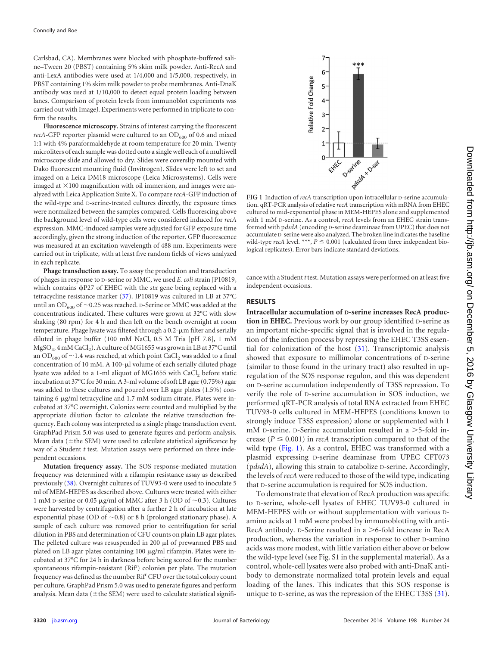Carlsbad, CA). Membranes were blocked with phosphate-buffered saline–Tween 20 (PBST) containing 5% skim milk powder. Anti-RecA and anti-LexA antibodies were used at 1/4,000 and 1/5,000, respectively, in PBST containing 1% skim milk powder to probe membranes. Anti-DnaK antibody was used at 1/10,000 to detect equal protein loading between lanes. Comparison of protein levels from immunoblot experiments was carried out with ImageJ. Experiments were performed in triplicate to confirm the results.

**Fluorescence microscopy.** Strains of interest carrying the fluorescent *recA*-GFP reporter plasmid were cultured to an  $OD_{600}$  of 0.6 and mixed 1:1 with 4% paraformaldehyde at room temperature for 20 min. Twenty microliters of each sample was dotted onto a single well each of a multiwell microscope slide and allowed to dry. Slides were coverslip mounted with Dako fluorescent mounting fluid (Invitrogen). Slides were left to set and imaged on a Leica DM18 microscope (Leica Microsystems). Cells were imaged at  $\times$ 100 magnification with oil immersion, and images were analyzed with Leica Application Suite X. To compare *recA*-GFP induction of the wild-type and D-serine-treated cultures directly, the exposure times were normalized between the samples compared. Cells fluorescing above the background level of wild-type cells were considered induced for *recA* expression. MMC-induced samples were adjusted for GFP exposure time accordingly, given the strong induction of the reporter. GFP fluorescence was measured at an excitation wavelength of 488 nm. Experiments were carried out in triplicate, with at least five random fields of views analyzed in each replicate.

**Phage transduction assay.** To assay the production and transduction of phages in response to D-serine or MMC, we used *E. coli* strain JP10819, which contains P27 of EHEC with the *stx* gene being replaced with a tetracycline resistance marker [\(37\)](#page-9-14). JP10819 was cultured in LB at 37°C until an OD<sub>600</sub> of  $\sim$ 0.25 was reached. D-Serine or MMC was added at the concentrations indicated. These cultures were grown at 32°C with slow shaking (80 rpm) for 4 h and then left on the bench overnight at room temperature. Phage lysate was filtered through a 0.2- $\mu$ m filter and serially diluted in phage buffer (100 mM NaCl, 0.5 M Tris [pH 7.8], 1 mM MgSO<sub>4</sub>, 4 mM CaCl<sub>2</sub>). A culture of MG1655 was grown in LB at 37°C until an OD<sub>600</sub> of  $\sim$  1.4 was reached, at which point CaCl<sub>2</sub> was added to a final concentration of 10 mM. A 100- $\mu$ l volume of each serially diluted phage lysate was added to a 1-ml aliquot of MG1655 with CaCl<sub>2</sub> before static incubation at 37°C for 30 min. A 3-ml volume of soft LB agar (0.75%) agar was added to these cultures and poured over LB agar plates (1.5%) containing 6  $\mu$ g/ml tetracycline and 1.7 mM sodium citrate. Plates were incubated at 37°C overnight. Colonies were counted and multiplied by the appropriate dilution factor to calculate the relative transduction frequency. Each colony was interpreted as a single phage transduction event. GraphPad Prism 5.0 was used to generate figures and perform analysis. Mean data ( $\pm$ the SEM) were used to calculate statistical significance by way of a Student *t* test. Mutation assays were performed on three independent occasions.

**Mutation frequency assay.** The SOS response-mediated mutation frequency was determined with a rifampin resistance assay as described previously [\(38\)](#page-9-15). Overnight cultures of TUV93-0 were used to inoculate 5 ml of MEM-HEPES as described above. Cultures were treated with either 1 mM D-serine or 0.05  $\mu$ g/ml of MMC after 3 h (OD of  $\sim$ 0.3). Cultures were harvested by centrifugation after a further 2 h of incubation at late exponential phase (OD of  $\sim$ 0.8) or 8 h (prolonged stationary phase). A sample of each culture was removed prior to centrifugation for serial dilution in PBS and determination of CFU counts on plain LB agar plates. The pelleted culture was resuspended in 200  $\mu$ l of prewarmed PBS and plated on LB agar plates containing  $100 \mu g/ml$  rifampin. Plates were incubated at 37°C for 24 h in darkness before being scored for the number spontaneous rifampin-resistant (Rif<sup>r</sup>) colonies per plate. The mutation frequency was defined as the number Rif<sup>r</sup> CFU over the total colony count per culture. GraphPad Prism 5.0 was used to generate figures and perform analysis. Mean data ( $\pm$ the SEM) were used to calculate statistical signifi-



<span id="page-2-0"></span>**FIG 1** Induction of *recA* transcription upon intracellular D-serine accumulation. qRT-PCR analysis of relative *recA* transcription with mRNA from EHEC cultured to mid-exponential phase in MEM-HEPES alone and supplemented with 1 mM D-serine. As a control, *recA* levels from an EHEC strain transformed with p*dsdA* (encoding D-serine deaminase from UPEC) that does not accumulate D-serine were also analyzed. The broken line indicates the baseline wild-type *recA* level. \*\*\*,  $P \leq 0.001$  (calculated from three independent biological replicates). Error bars indicate standard deviations.

cance with a Student *t* test. Mutation assays were performed on at least five independent occasions.

### **RESULTS**

**Intracellular accumulation of D-serine increases RecA production in EHEC.** Previous work by our group identified D-serine as an important niche-specific signal that is involved in the regulation of the infection process by repressing the EHEC T3SS essential for colonization of the host [\(31\)](#page-9-8). Transcriptomic analysis showed that exposure to millimolar concentrations of D-serine (similar to those found in the urinary tract) also resulted in upregulation of the SOS response regulon, and this was dependent on D-serine accumulation independently of T3SS repression. To verify the role of D-serine accumulation in SOS induction, we performed qRT-PCR analysis of total RNA extracted from EHEC TUV93-0 cells cultured in MEM-HEPES (conditions known to strongly induce T3SS expression) alone or supplemented with 1 mM D-serine. D-Serine accumulation resulted in a >5-fold increase ( $P \le 0.001$ ) in *recA* transcription compared to that of the wild type [\(Fig. 1\)](#page-2-0). As a control, EHEC was transformed with a plasmid expressing D-serine deaminase from UPEC CFT073 (p*dsdA*), allowing this strain to catabolize D-serine. Accordingly, the levels of*recA* were reduced to those of the wild type, indicating that D-serine accumulation is required for SOS induction.

To demonstrate that elevation of RecA production was specific to D-serine, whole-cell lysates of EHEC TUV93-0 cultured in MEM-HEPES with or without supplementation with various Damino acids at 1 mM were probed by immunoblotting with anti-RecA antibody. D-Serine resulted in a >6-fold increase in RecA production, whereas the variation in response to other D-amino acids was more modest, with little variation either above or below the wild-type level (see Fig. S1 in the supplemental material). As a control, whole-cell lysates were also probed with anti-DnaK antibody to demonstrate normalized total protein levels and equal loading of the lanes. This indicates that this SOS response is unique to D-serine, as was the repression of the EHEC T3SS [\(31\)](#page-9-8).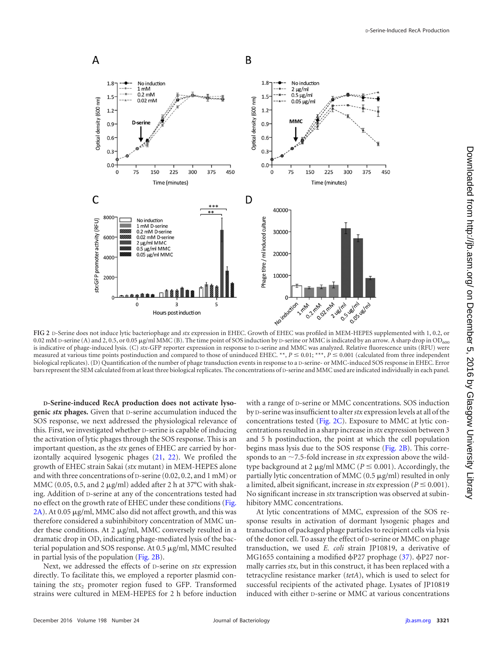

<span id="page-3-0"></span>**FIG 2** D-Serine does not induce lytic bacteriophage and *stx* expression in EHEC. Growth of EHEC was profiled in MEM-HEPES supplemented with 1, 0.2, or 0.02 mM D-serine (A) and 2, 0.5, or 0.05 µg/ml MMC (B). The time point of SOS induction by D-serine or MMC is indicated by an arrow. A sharp drop in OD<sub>600</sub> is indicative of phage-induced lysis. (C) *stx*-GFP reporter expression in response to D-serine and MMC was analyzed. Relative fluorescence units (RFU) were measured at various time points postinduction and compared to those of uninduced EHEC. \*\*,  $P \le 0.01$ ; \*\*\*,  $P \le 0.001$  (calculated from three independent biological replicates). (D) Quantification of the number of phage transduction events in response to a D-serine- or MMC-induced SOS response in EHEC. Error bars represent the SEM calculated from at least three biological replicates. The concentrations of D-serine and MMC used are indicated individually in each panel.

**D-Serine-induced RecA production does not activate lysogenic** *stx* **phages.** Given that D-serine accumulation induced the SOS response, we next addressed the physiological relevance of this. First, we investigated whether D-serine is capable of inducing the activation of lytic phages through the SOS response. This is an important question, as the *stx* genes of EHEC are carried by horizontally acquired lysogenic phages [\(21,](#page-8-19) [22\)](#page-8-20). We profiled the growth of EHEC strain Sakai (*stx* mutant) in MEM-HEPES alone and with three concentrations of D-serine (0.02, 0.2, and 1 mM) or MMC (0.05, 0.5, and 2  $\mu$ g/ml) added after 2 h at 37°C with shaking. Addition of D-serine at any of the concentrations tested had no effect on the growth rate of EHEC under these conditions [\(Fig.](#page-3-0) [2A\)](#page-3-0). At 0.05 µg/ml, MMC also did not affect growth, and this was therefore considered a subinhibitory concentration of MMC under these conditions. At 2  $\mu$ g/ml, MMC conversely resulted in a dramatic drop in OD, indicating phage-mediated lysis of the bacterial population and SOS response. At  $0.5 \mu g/ml$ , MMC resulted in partial lysis of the population [\(Fig. 2B\)](#page-3-0).

Next, we addressed the effects of D-serine on *stx* expression directly. To facilitate this, we employed a reporter plasmid containing the  $stx$ <sub>2</sub> promoter region fused to GFP. Transformed strains were cultured in MEM-HEPES for 2 h before induction

with a range of D-serine or MMC concentrations. SOS induction by D-serine was insufficient to alter*stx* expression levels at all of the concentrations tested [\(Fig. 2C\)](#page-3-0). Exposure to MMC at lytic concentrations resulted in a sharp increase in *stx* expression between 3 and 5 h postinduction, the point at which the cell population begins mass lysis due to the SOS response [\(Fig. 2B\)](#page-3-0). This corresponds to an  $\sim$  7.5-fold increase in *stx* expression above the wildtype background at 2  $\mu$ g/ml MMC ( $P \le 0.001$ ). Accordingly, the partially lytic concentration of MMC  $(0.5 \mu g/ml)$  resulted in only a limited, albeit significant, increase in *stx* expression ( $P \le 0.001$ ). No significant increase in *stx* transcription was observed at subinhibitory MMC concentrations.

At lytic concentrations of MMC, expression of the SOS response results in activation of dormant lysogenic phages and transduction of packaged phage particles to recipient cells via lysis of the donor cell. To assay the effect of D-serine or MMC on phage transduction, we used *E. coli* strain JP10819, a derivative of MG1655 containing a modified  $\phi$ P27 prophage [\(37\)](#page-9-14).  $\phi$ P27 normally carries *stx*, but in this construct, it has been replaced with a tetracycline resistance marker (*tetA*), which is used to select for successful recipients of the activated phage. Lysates of JP10819 induced with either D-serine or MMC at various concentrations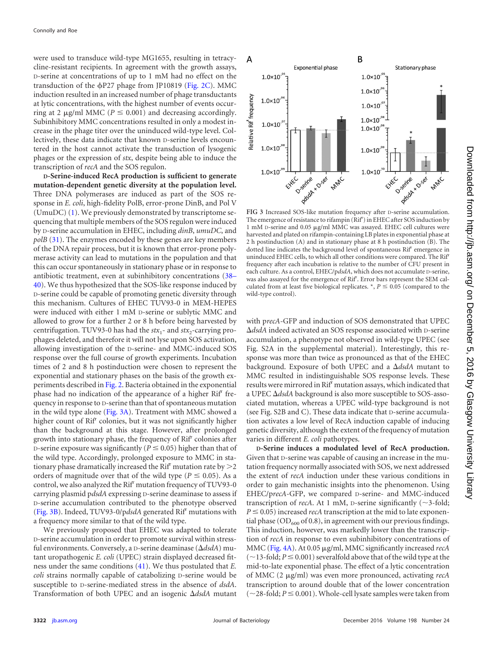were used to transduce wild-type MG1655, resulting in tetracycline-resistant recipients. In agreement with the growth assays, D-serine at concentrations of up to 1 mM had no effect on the transduction of the  $\phi$ P27 phage from JP10819 [\(Fig. 2C\)](#page-3-0). MMC induction resulted in an increased number of phage transductants at lytic concentrations, with the highest number of events occurring at 2  $\mu$ g/ml MMC ( $P \le 0.001$ ) and decreasing accordingly. Subinhibitory MMC concentrations resulted in only a modest increase in the phage titer over the uninduced wild-type level. Collectively, these data indicate that known D-serine levels encountered in the host cannot activate the transduction of lysogenic phages or the expression of *stx*, despite being able to induce the transcription of *recA* and the SOS regulon.

**D-Serine-induced RecA production is sufficient to generate mutation-dependent genetic diversity at the population level.** Three DNA polymerases are induced as part of the SOS response in *E. coli*, high-fidelity PolB, error-prone DinB, and Pol V (UmuDC) [\(1\)](#page-8-0). We previously demonstrated by transcriptome sequencing that multiple members of the SOS regulon were induced by D-serine accumulation in EHEC, including *dinB*, *umuDC*, and *polB* [\(31\)](#page-9-8). The enzymes encoded by these genes are key members of the DNA repair process, but it is known that error-prone polymerase activity can lead to mutations in the population and that this can occur spontaneously in stationary phase or in response to antibiotic treatment, even at subinhibitory concentrations [\(38](#page-9-15)[–](#page-9-16) [40\)](#page-9-17). We thus hypothesized that the SOS-like response induced by D-serine could be capable of promoting genetic diversity through this mechanism. Cultures of EHEC TUV93-0 in MEM-HEPES were induced with either 1 mM D-serine or sublytic MMC and allowed to grow for a further 2 or 8 h before being harvested by centrifugation. TUV93-0 has had the  $stx_1$ - and  $stx_2$ -carrying prophages deleted, and therefore it will not lyse upon SOS activation, allowing investigation of the D-serine- and MMC-induced SOS response over the full course of growth experiments. Incubation times of 2 and 8 h postinduction were chosen to represent the exponential and stationary phases on the basis of the growth experiments described in [Fig. 2.](#page-3-0) Bacteria obtained in the exponential phase had no indication of the appearance of a higher Rif<sup>r</sup> frequency in response to D-serine than that of spontaneous mutation in the wild type alone [\(Fig. 3A\)](#page-4-0). Treatment with MMC showed a higher count of Rif<sup>r</sup> colonies, but it was not significantly higher than the background at this stage. However, after prolonged growth into stationary phase, the frequency of Rif<sup>r</sup> colonies after D-serine exposure was significantly ( $P \leq 0.05$ ) higher than that of the wild type. Accordingly, prolonged exposure to MMC in stationary phase dramatically increased the Rif<sup>r</sup> mutation rate by  $>$  2 orders of magnitude over that of the wild type ( $P \le 0.05$ ). As a control, we also analyzed the Rif<sup>r</sup> mutation frequency of TUV93-0 carrying plasmid p*dsdA* expressing D-serine deaminase to assess if D-serine accumulation contributed to the phenotype observed [\(Fig. 3B\)](#page-4-0). Indeed, TUV93-0/pdsdA generated Rif<sup>r</sup> mutations with a frequency more similar to that of the wild type.

We previously proposed that EHEC was adapted to tolerate D-serine accumulation in order to promote survival within stressful environments. Conversely, a D-serine deaminase (*dsdA*) mutant uropathogenic *E. coli* (UPEC) strain displayed decreased fitness under the same conditions [\(41\)](#page-9-18). We thus postulated that *E. coli* strains normally capable of catabolizing D-serine would be susceptible to D-serine-mediated stress in the absence of *dsdA*. Transformation of both UPEC and an isogenic *dsdA* mutant



<span id="page-4-0"></span>**FIG 3** Increased SOS-like mutation frequency after D-serine accumulation. The emergence of resistance to rifampin (Rif<sup>r</sup>) in EHEC after SOS induction by 1 mM D-serine and 0.05 µg/ml MMC was assayed. EHEC cell cultures were harvested and plated on rifampin-containing LB plates in exponential phase at 2 h postinduction (A) and in stationary phase at 8 h postinduction (B). The dotted line indicates the background level of spontaneous Rif<sup>r</sup> emergence in uninduced EHEC cells, to which all other conditions were compared. The Rif<sup>r</sup> frequency after each incubation is relative to the number of CFU present in each culture. As a control, EHEC/p*dsdA*, which does not accumulate D-serine, was also assayed for the emergence of Rif<sup>r</sup>. Error bars represent the SEM calculated from at least five biological replicates.  $\ast$ ,  $P \leq 0.05$  (compared to the wild-type control).

with p*recA*-GFP and induction of SOS demonstrated that UPEC *dsdA* indeed activated an SOS response associated with D-serine accumulation, a phenotype not observed in wild-type UPEC (see Fig. S2A in the supplemental material). Interestingly, this response was more than twice as pronounced as that of the EHEC background. Exposure of both UPEC and a *dsdA* mutant to MMC resulted in indistinguishable SOS response levels. These results were mirrored in Rif<sup>r</sup> mutation assays, which indicated that a UPEC *dsdA* background is also more susceptible to SOS-associated mutation, whereas a UPEC wild-type background is not (see Fig. S2B and C). These data indicate that D-serine accumulation activates a low level of RecA induction capable of inducing genetic diversity, although the extent of the frequency of mutation varies in different *E. coli* pathotypes.

**D-Serine induces a modulated level of RecA production.** Given that D-serine was capable of causing an increase in the mutation frequency normally associated with SOS, we next addressed the extent of *recA* induction under these various conditions in order to gain mechanistic insights into the phenomenon. Using EHEC/p*recA*-GFP, we compared D-serine- and MMC-induced transcription of *recA*. At 1 mM, *p*-serine significantly ( $\sim$ 3-fold;  $P \leq 0.05$ ) increased *recA* transcription at the mid to late exponential phase ( $OD_{600}$  of 0.8), in agreement with our previous findings. This induction, however, was markedly lower than the transcription of *recA* in response to even subinhibitory concentrations of MMC [\(Fig. 4A\)](#page-5-0). At 0.05  $\mu$ g/ml, MMC significantly increased *recA*  $(\sim$ 13-fold;  $P \leq 0.001$ ) severalfold above that of the wild type at the mid-to-late exponential phase. The effect of a lytic concentration of MMC (2  $\mu$ g/ml) was even more pronounced, activating *recA* transcription to around double that of the lower concentration  $(\sim$  28-fold;  $P \le 0.001$ ). Whole-cell lysate samples were taken from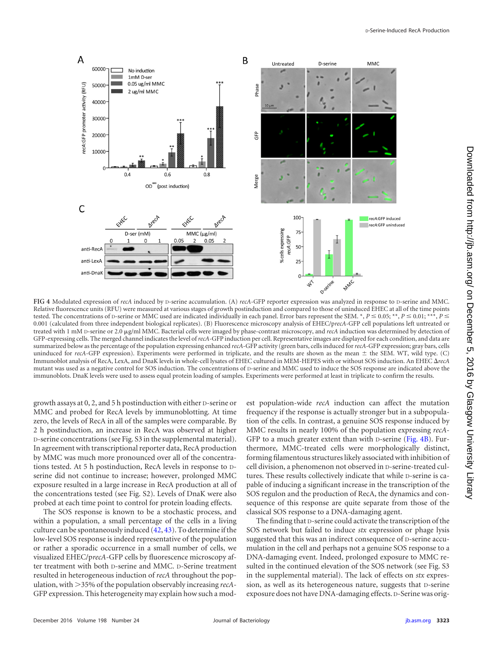

<span id="page-5-0"></span>**FIG 4** Modulated expression of *recA* induced by D-serine accumulation. (A) *recA*-GFP reporter expression was analyzed in response to D-serine and MMC. Relative fluorescence units (RFU) were measured at various stages of growth postinduction and compared to those of uninduced EHEC at all of the time points tested. The concentrations of D-serine or MMC used are indicated individually in each panel. Error bars represent the SEM. \*,  $P \le 0.05$ ; \*\*,  $P \le 0.01$ ; \*\*\*,  $P \le$ 0.001 (calculated from three independent biological replicates). (B) Fluorescence microscopy analysis of EHEC/p*recA*-GFP cell populations left untreated or treated with 1 mM D-serine or 2.0 g/ml MMC. Bacterial cells were imaged by phase-contrast microscopy, and *recA* induction was determined by detection of GFP-expressing cells. The merged channel indicates the level of*recA*-GFP induction per cell. Representative images are displayed for each condition, and data are summarized below as the percentage of the population expressing enhanced *recA*-GFP activity (green bars, cells induced for*recA*-GFP expression; gray bars, cells uninduced for *recA*-GFP expression). Experiments were performed in triplicate, and the results are shown as the mean  $\pm$  the SEM. WT, wild type. (C) Immunoblot analysis of RecA, LexA, and DnaK levels in whole-cell lysates of EHEC cultured in MEM-HEPES with or without SOS induction. An EHEC *recA* mutant was used as a negative control for SOS induction. The concentrations of D-serine and MMC used to induce the SOS response are indicated above the immunoblots. DnaK levels were used to assess equal protein loading of samples. Experiments were performed at least in triplicate to confirm the results.

growth assays at 0, 2, and 5 h postinduction with either D-serine or MMC and probed for RecA levels by immunoblotting. At time zero, the levels of RecA in all of the samples were comparable. By 2 h postinduction, an increase in RecA was observed at higher D-serine concentrations (see Fig. S3 in the supplemental material). In agreement with transcriptional reporter data, RecA production by MMC was much more pronounced over all of the concentrations tested. At 5 h postinduction, RecA levels in response to Dserine did not continue to increase; however, prolonged MMC exposure resulted in a large increase in RecA production at all of the concentrations tested (see Fig. S2). Levels of DnaK were also probed at each time point to control for protein loading effects.

The SOS response is known to be a stochastic process, and within a population, a small percentage of the cells in a living culture can be spontaneously induced [\(42,](#page-9-19) [43\)](#page-9-20). To determine if the low-level SOS response is indeed representative of the population or rather a sporadic occurrence in a small number of cells, we visualized EHEC/p*recA*-GFP cells by fluorescence microscopy after treatment with both D-serine and MMC. D-Serine treatment resulted in heterogeneous induction of *recA* throughout the population, with >35% of the population observably increasing *recA*-GFP expression. This heterogeneity may explain how such a modest population-wide *recA* induction can affect the mutation frequency if the response is actually stronger but in a subpopulation of the cells. In contrast, a genuine SOS response induced by MMC results in nearly 100% of the population expressing *recA*-GFP to a much greater extent than with D-serine [\(Fig. 4B\)](#page-5-0). Furthermore, MMC-treated cells were morphologically distinct, forming filamentous structures likely associated with inhibition of cell division, a phenomenon not observed in D-serine-treated cultures. These results collectively indicate that while D-serine is capable of inducing a significant increase in the transcription of the SOS regulon and the production of RecA, the dynamics and consequence of this response are quite separate from those of the classical SOS response to a DNA-damaging agent.

The finding that D-serine could activate the transcription of the SOS network but failed to induce *stx* expression or phage lysis suggested that this was an indirect consequence of D-serine accumulation in the cell and perhaps not a genuine SOS response to a DNA-damaging event. Indeed, prolonged exposure to MMC resulted in the continued elevation of the SOS network (see Fig. S3 in the supplemental material). The lack of effects on *stx* expression, as well as its heterogeneous nature, suggests that D-serine exposure does not have DNA-damaging effects. D-Serine was orig-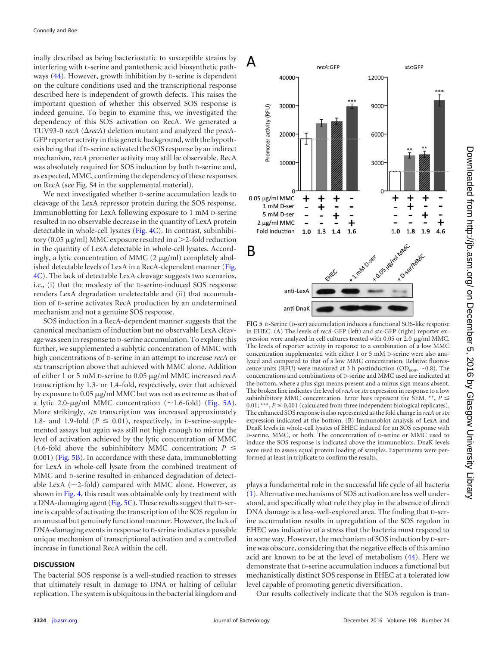inally described as being bacteriostatic to susceptible strains by interfering with L-serine and pantothenic acid biosynthetic pathways [\(44\)](#page-9-21). However, growth inhibition by D-serine is dependent on the culture conditions used and the transcriptional response described here is independent of growth defects. This raises the important question of whether this observed SOS response is indeed genuine. To begin to examine this, we investigated the dependency of this SOS activation on RecA. We generated a TUV93-0  $recA$  ( $\Delta recA$ ) deletion mutant and analyzed the precA-GFP reporter activity in this genetic background, with the hypothesis being that if D-serine activated the SOS response by an indirect mechanism, *recA* promoter activity may still be observable. RecA was absolutely required for SOS induction by both D-serine and, as expected, MMC, confirming the dependency of these responses on RecA (see Fig. S4 in the supplemental material).

We next investigated whether D-serine accumulation leads to cleavage of the LexA repressor protein during the SOS response. Immunoblotting for LexA following exposure to 1 mM D-serine resulted in no observable decrease in the quantity of LexA protein detectable in whole-cell lysates [\(Fig. 4C\)](#page-5-0). In contrast, subinhibitory (0.05  $\mu$ g/ml) MMC exposure resulted in a  $\geq$ 2-fold reduction in the quantity of LexA detectable in whole-cell lysates. Accordingly, a lytic concentration of MMC  $(2 \mu g/ml)$  completely abolished detectable levels of LexA in a RecA-dependent manner [\(Fig.](#page-5-0) [4C\)](#page-5-0). The lack of detectable LexA cleavage suggests two scenarios, i.e., (i) that the modesty of the D-serine-induced SOS response renders LexA degradation undetectable and (ii) that accumulation of D-serine activates RecA production by an undetermined mechanism and not a genuine SOS response.

SOS induction in a RecA-dependent manner suggests that the canonical mechanism of induction but no observable LexA cleavage was seen in response to D-serine accumulation. To explore this further, we supplemented a sublytic concentration of MMC with high concentrations of D-serine in an attempt to increase *recA* or *stx* transcription above that achieved with MMC alone. Addition of either 1 or 5 mM D-serine to 0.05  $\mu$ g/ml MMC increased *recA* transcription by 1.3- or 1.4-fold, respectively, over that achieved by exposure to 0.05 µg/ml MMC but was not as extreme as that of a lytic 2.0-µg/ml MMC concentration  $(\sim 1.6\text{-fold})$  [\(Fig. 5A\)](#page-6-0). More strikingly, *stx* transcription was increased approximately 1.8- and 1.9-fold ( $P \le 0.01$ ), respectively, in D-serine-supplemented assays but again was still not high enough to mirror the level of activation achieved by the lytic concentration of MMC (4.6-fold above the subinhibitory MMC concentration;  $P \leq$ 0.001) [\(Fig. 5B\)](#page-6-0). In accordance with these data, immunoblotting for LexA in whole-cell lysate from the combined treatment of MMC and D-serine resulted in enhanced degradation of detectable LexA ( $\sim$ 2-fold) compared with MMC alone. However, as shown in [Fig. 4,](#page-5-0) this result was obtainable only by treatment with a DNA-damaging agent [\(Fig. 5C\)](#page-6-0). These results suggest that D-serine is capable of activating the transcription of the SOS regulon in an unusual but genuinely functional manner. However, the lack of DNA-damaging events in response to D-serine indicates a possible unique mechanism of transcriptional activation and a controlled increase in functional RecA within the cell.

#### **DISCUSSION**

The bacterial SOS response is a well-studied reaction to stresses that ultimately result in damage to DNA or halting of cellular replication. The system is ubiquitous in the bacterial kingdom and



<span id="page-6-0"></span>**FIG 5** D-Serine (D-ser) accumulation induces a functional SOS-like response in EHEC. (A) The levels of *recA*-GFP (left) and *stx*-GFP (right) reporter expression were analyzed in cell cultures treated with 0.05 or  $2.0 \mu g/ml$  MMC. The levels of reporter activity in response to a combination of a low MMC concentration supplemented with either 1 or 5 mM D-serine were also analyzed and compared to that of a low MMC concentration. Relative fluorescence units (RFU) were measured at 3 h postinduction (OD<sub>600</sub>, ~0.8). The concentrations and combinations of D-serine and MMC used are indicated at the bottom, where a plus sign means present and a minus sign means absent. The broken line indicates the level of*recA* or*stx* expression in response to a low subinhibitory MMC concentration. Error bars represent the SEM. \*\*,  $P \leq$  $0.01;***, P \leq 0.001$  (calculated from three independent biological replicates). The enhanced SOS response is also represented as the fold change in *recA* or*stx* expression indicated at the bottom. (B) Immunoblot analysis of LexA and DnaK levels in whole-cell lysates of EHEC induced for an SOS response with D-serine, MMC, or both. The concentration of D-serine or MMC used to induce the SOS response is indicated above the immunoblots. DnaK levels were used to assess equal protein loading of samples. Experiments were performed at least in triplicate to confirm the results.

plays a fundamental role in the successful life cycle of all bacteria [\(1\)](#page-8-0). Alternative mechanisms of SOS activation are less well understood, and specifically what role they play in the absence of direct DNA damage is a less-well-explored area. The finding that D-serine accumulation results in upregulation of the SOS regulon in EHEC was indicative of a stress that the bacteria must respond to in some way. However, the mechanism of SOS induction by D-serine was obscure, considering that the negative effects of this amino acid are known to be at the level of metabolism [\(44\)](#page-9-21). Here we demonstrate that D-serine accumulation induces a functional but mechanistically distinct SOS response in EHEC at a tolerated low level capable of promoting genetic diversification.

Our results collectively indicate that the SOS regulon is tran-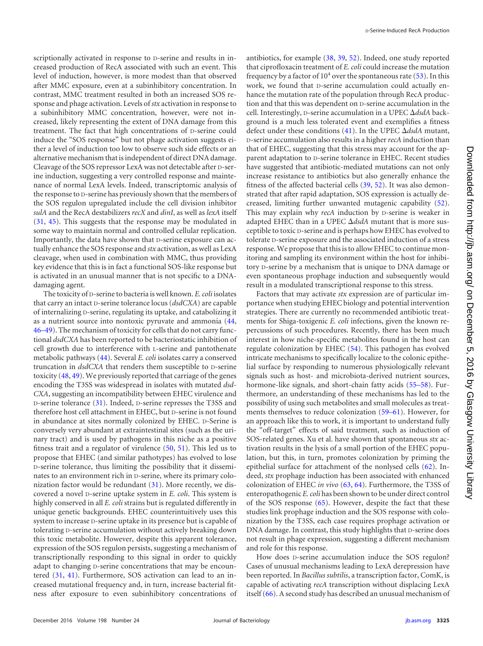scriptionally activated in response to D-serine and results in increased production of RecA associated with such an event. This level of induction, however, is more modest than that observed after MMC exposure, even at a subinhibitory concentration. In contrast, MMC treatment resulted in both an increased SOS response and phage activation. Levels of *stx* activation in response to a subinhibitory MMC concentration, however, were not increased, likely representing the extent of DNA damage from this treatment. The fact that high concentrations of D-serine could induce the "SOS response" but not phage activation suggests either a level of induction too low to observe such side effects or an alternative mechanism that is independent of direct DNA damage. Cleavage of the SOS repressor LexA was not detectable after D-serine induction, suggesting a very controlled response and maintenance of normal LexA levels. Indeed, transcriptomic analysis of the response to D-serine has previously shown that the members of the SOS regulon upregulated include the cell division inhibitor *sulA* and the RecA destabilizers *recX* and *dinI*, as well as *lexA* itself [\(31,](#page-9-8) [45\)](#page-9-22). This suggests that the response may be modulated in some way to maintain normal and controlled cellular replication. Importantly, the data have shown that D-serine exposure can actually enhance the SOS response and *stx* activation, as well as LexA cleavage, when used in combination with MMC, thus providing key evidence that this is in fact a functional SOS-like response but is activated in an unusual manner that is not specific to a DNAdamaging agent.

The toxicity of D-serine to bacteria is well known. *E. coli* isolates that carry an intact D-serine tolerance locus (*dsdCXA*) are capable of internalizing D-serine, regulating its uptake, and catabolizing it as a nutrient source into nontoxic pyruvate and ammonia [\(44,](#page-9-21) [46](#page-9-23)[–](#page-9-24)[49\)](#page-9-25). The mechanism of toxicity for cells that do not carry functional *dsdCXA* has been reported to be bacteriostatic inhibition of cell growth due to interference with L-serine and pantothenate metabolic pathways [\(44\)](#page-9-21). Several *E. coli* isolates carry a conserved truncation in *dsdCXA* that renders them susceptible to D-serine toxicity [\(48,](#page-9-24) [49\)](#page-9-25). We previously reported that carriage of the genes encoding the T3SS was widespread in isolates with mutated *dsd-CXA*, suggesting an incompatibility between EHEC virulence and D-serine tolerance [\(31\)](#page-9-8). Indeed, D-serine represses the T3SS and therefore host cell attachment in EHEC, but D-serine is not found in abundance at sites normally colonized by EHEC. D-Serine is conversely very abundant at extraintestinal sites (such as the urinary tract) and is used by pathogens in this niche as a positive fitness trait and a regulator of virulence [\(50,](#page-9-26) [51\)](#page-9-27). This led us to propose that EHEC (and similar pathotypes) has evolved to lose D-serine tolerance, thus limiting the possibility that it disseminates to an environment rich in D-serine, where its primary colonization factor would be redundant [\(31\)](#page-9-8). More recently, we discovered a novel D-serine uptake system in *E. coli*. This system is highly conserved in all *E. coli* strains but is regulated differently in unique genetic backgrounds. EHEC counterintuitively uses this system to increase D-serine uptake in its presence but is capable of tolerating D-serine accumulation without actively breaking down this toxic metabolite. However, despite this apparent tolerance, expression of the SOS regulon persists, suggesting a mechanism of transcriptionally responding to this signal in order to quickly adapt to changing D-serine concentrations that may be encountered [\(31,](#page-9-8) [41\)](#page-9-18). Furthermore, SOS activation can lead to an increased mutational frequency and, in turn, increase bacterial fitness after exposure to even subinhibitory concentrations of

antibiotics, for example [\(38,](#page-9-15) [39,](#page-9-16) [52\)](#page-9-28). Indeed, one study reported that ciprofloxacin treatment of *E. coli* could increase the mutation frequency by a factor of  $10^4$  over the spontaneous rate [\(53\)](#page-9-29). In this work, we found that D-serine accumulation could actually enhance the mutation rate of the population through RecA production and that this was dependent on D-serine accumulation in the cell. Interestingly, D-serine accumulation in a UPEC *dsdA* background is a much less tolerated event and exemplifies a fitness defect under these conditions [\(41\)](#page-9-18). In the UPEC *dsdA* mutant, D-serine accumulation also results in a higher *recA* induction than that of EHEC, suggesting that this stress may account for the apparent adaptation to D-serine tolerance in EHEC. Recent studies have suggested that antibiotic-mediated mutations can not only increase resistance to antibiotics but also generally enhance the fitness of the affected bacterial cells [\(39,](#page-9-16) [52\)](#page-9-28). It was also demonstrated that after rapid adaptation, SOS expression is actually decreased, limiting further unwanted mutagenic capability [\(52\)](#page-9-28). This may explain why *recA* induction by D-serine is weaker in adapted EHEC than in a UPEC *dsdA* mutant that is more susceptible to toxic D-serine and is perhaps how EHEC has evolved to tolerate D-serine exposure and the associated induction of a stress response. We propose that this is to allow EHEC to continue monitoring and sampling its environment within the host for inhibitory D-serine by a mechanism that is unique to DNA damage or even spontaneous prophage induction and subsequently would result in a modulated transcriptional response to this stress.

Factors that may activate *stx* expression are of particular importance when studying EHEC biology and potential intervention strategies. There are currently no recommended antibiotic treatments for Shiga-toxigenic *E. coli* infections, given the known repercussions of such procedures. Recently, there has been much interest in how niche-specific metabolites found in the host can regulate colonization by EHEC [\(54\)](#page-9-30). This pathogen has evolved intricate mechanisms to specifically localize to the colonic epithelial surface by responding to numerous physiologically relevant signals such as host- and microbiota-derived nutrient sources, hormone-like signals, and short-chain fatty acids [\(55](#page-9-31)[–](#page-9-32)[58\)](#page-9-33). Furthermore, an understanding of these mechanisms has led to the possibility of using such metabolites and small molecules as treatments themselves to reduce colonization [\(59](#page-9-34)[–](#page-9-35)[61\)](#page-9-36). However, for an approach like this to work, it is important to understand fully the "off-target" effects of said treatment, such as induction of SOS-related genes. Xu et al. have shown that spontaneous *stx* activation results in the lysis of a small portion of the EHEC population, but this, in turn, promotes colonization by priming the epithelial surface for attachment of the nonlysed cells [\(62\)](#page-10-0). Indeed, *stx* prophage induction has been associated with enhanced colonization of EHEC *in vivo* [\(63,](#page-10-1) [64\)](#page-10-2). Furthermore, the T3SS of enteropathogenic *E.coli* has been shown to be under direct control of the SOS response [\(65\)](#page-10-3). However, despite the fact that these studies link prophage induction and the SOS response with colonization by the T3SS, each case requires prophage activation or DNA damage. In contrast, this study highlights that D-serine does not result in phage expression, suggesting a different mechanism and role for this response.

How does D-serine accumulation induce the SOS regulon? Cases of unusual mechanisms leading to LexA derepression have been reported. In *Bacillus subtilis*, a transcription factor, ComK, is capable of activating *recA* transcription without displacing LexA itself [\(66\)](#page-10-4). A second study has described an unusual mechanism of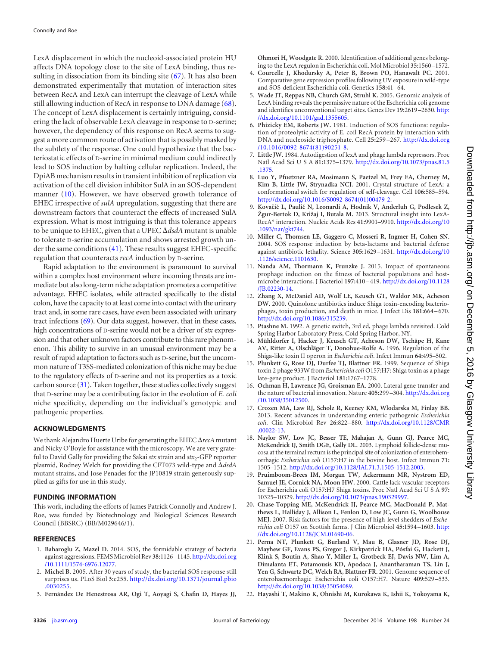LexA displacement in which the nucleoid-associated protein HU affects DNA topology close to the site of LexA binding, thus resulting in dissociation from its binding site [\(67\)](#page-10-5). It has also been demonstrated experimentally that mutation of interaction sites between RecA and LexA can interrupt the cleavage of LexA while still allowing induction of RecA in response to DNA damage [\(68\)](#page-10-6). The concept of LexA displacement is certainly intriguing, considering the lack of observable LexA cleavage in response to D-serine; however, the dependency of this response on RecA seems to suggest a more common route of activation that is possibly masked by the subtlety of the response. One could hypothesize that the bacteriostatic effects of D-serine in minimal medium could indirectly lead to SOS induction by halting cellular replication. Indeed, the DpiAB mechanism results in transient inhibition of replication via activation of the cell division inhibitor SulA in an SOS-dependent manner [\(10\)](#page-8-8). However, we have observed growth tolerance of EHEC irrespective of *sulA* upregulation, suggesting that there are downstream factors that counteract the effects of increased SulA expression. What is most intriguing is that this tolerance appears to be unique to EHEC, given that a UPEC *dsdA* mutant is unable to tolerate D-serine accumulation and shows arrested growth under the same conditions [\(41\)](#page-9-18). These results suggest EHEC-specific regulation that counteracts *recA* induction by D-serine.

Rapid adaptation to the environment is paramount to survival within a complex host environment where incoming threats are immediate but also long-term niche adaptation promotes a competitive advantage. EHEC isolates, while attracted specifically to the distal colon, have the capacity to at least come into contact with the urinary tract and, in some rare cases, have even been associated with urinary tract infections [\(69\)](#page-10-7). Our data suggest, however, that in these cases, high concentrations of D-serine would not be a driver of *stx* expression and that other unknown factors contribute to this rare phenomenon. This ability to survive in an unusual environment may be a result of rapid adaptation to factors such as D-serine, but the uncommon nature of T3SS-mediated colonization of this niche may be due to the regulatory effects of D-serine and not its properties as a toxic carbon source [\(31\)](#page-9-8). Taken together, these studies collectively suggest that D-serine may be a contributing factor in the evolution of *E. coli* niche specificity, depending on the individual's genotypic and pathogenic properties.

# **ACKNOWLEDGMENTS**

We thank Alejandro Huerte Uribe for generating the EHEC  $\Delta$ recA mutant and Nicky O'Boyle for assistance with the microscopy. We are very grateful to David Gally for providing the Sakai  $stx$  strain and  $stx$ <sup>2</sup>-GFP reporter plasmid, Rodney Welch for providing the CFT073 wild-type and *dsdA* mutant strains, and Jose Penades for the JP10819 strain generously supplied as gifts for use in this study.

# **FUNDING INFORMATION**

This work, including the efforts of James Patrick Connolly and Andrew J. Roe, was funded by Biotechnology and Biological Sciences Research Council (BBSRC) (BB/M029646/1).

### <span id="page-8-0"></span>**REFERENCES**

- <span id="page-8-1"></span>1. **Baharoglu Z, Mazel D.** 2014. SOS, the formidable strategy of bacteria against aggressions. FEMS Microbiol Rev **38:**1126 –1145. [http://dx.doi.org](http://dx.doi.org/10.1111/1574-6976.12077) [/10.1111/1574-6976.12077.](http://dx.doi.org/10.1111/1574-6976.12077)
- <span id="page-8-2"></span>2. **Michel B.** 2005. After 30 years of study, the bacterial SOS response still surprises us. PLoS Biol **3:**e255. [http://dx.doi.org/10.1371/journal.pbio](http://dx.doi.org/10.1371/journal.pbio.0030255) [.0030255.](http://dx.doi.org/10.1371/journal.pbio.0030255)
- 3. **Fernández De Henestrosa AR, Ogi T, Aoyagi S, Chafin D, Hayes JJ,**

**Ohmori H, Woodgate R.** 2000. Identification of additional genes belonging to the LexA regulon in Escherichia coli. Mol Microbiol **35:**1560 –1572.

- <span id="page-8-3"></span>4. **Courcelle J, Khodursky A, Peter B, Brown PO, Hanawalt PC.** 2001. Comparative gene expression profiles following UV exposure in wild-type and SOS-deficient Escherichia coli. Genetics **158:**41– 64.
- <span id="page-8-4"></span>5. **Wade JT, Reppas NB, Church GM, Struhl K.** 2005. Genomic analysis of LexA binding reveals the permissive nature of the Escherichia coli genome and identifies unconventional target sites. Genes Dev **19:**2619 –2630. [http:](http://dx.doi.org/10.1101/gad.1355605) [//dx.doi.org/10.1101/gad.1355605.](http://dx.doi.org/10.1101/gad.1355605)
- <span id="page-8-5"></span>6. **Phizicky EM, Roberts JW.** 1981. Induction of SOS functions: regulation of proteolytic activity of E. coil RecA protein by interaction with DNA and nucleoside triphosphate. Cell **25:**259 –267. [http://dx.doi.org](http://dx.doi.org/10.1016/0092-8674(81)90251-8) [/10.1016/0092-8674\(81\)90251-8.](http://dx.doi.org/10.1016/0092-8674(81)90251-8)
- 7. **Little JW.** 1984. Autodigestion of lexA and phage lambda repressors. Proc Natl Acad Sci U S A **81:**1375–1379. [http://dx.doi.org/10.1073/pnas.81.5](http://dx.doi.org/10.1073/pnas.81.5.1375) [.1375.](http://dx.doi.org/10.1073/pnas.81.5.1375)
- <span id="page-8-6"></span>8. **Luo Y, Pfuetzner RA, Mosimann S, Paetzel M, Frey EA, Cherney M, Kim B, Little JW, Strynadka NCJ.** 2001. Crystal structure of LexA: a conformational switch for regulation of self-cleavage. Cell **106:**585–594. [http://dx.doi.org/10.1016/S0092-8674\(01\)00479-2.](http://dx.doi.org/10.1016/S0092-8674(01)00479-2)
- <span id="page-8-7"></span>9. Kovačič L, Paulič N, Leonardi A, Hodnik V, Anderluh G, Podlesek Z, **Žgur-Bertok D, Križaj I, Butala M.** 2013. Structural insight into LexA-RecA\* interaction. Nucleic Acids Res **41:**9901–9910. [http://dx.doi.org/10](http://dx.doi.org/10.1093/nar/gkt744) [.1093/nar/gkt744.](http://dx.doi.org/10.1093/nar/gkt744)
- <span id="page-8-8"></span>10. **Miller C, Thomsen LE, Gaggero C, Mosseri R, Ingmer H, Cohen SN.** 2004. SOS response induction by beta-lactams and bacterial defense against antibiotic lethality. Science **305:**1629 –1631. [http://dx.doi.org/10](http://dx.doi.org/10.1126/science.1101630) [.1126/science.1101630.](http://dx.doi.org/10.1126/science.1101630)
- <span id="page-8-9"></span>11. **Nanda AM, Thormann K, Frunzke J.** 2015. Impact of spontaneous prophage induction on the fitness of bacterial populations and hostmicrobe interactions. J Bacteriol **197:**410 – 419. [http://dx.doi.org/10.1128](http://dx.doi.org/10.1128/JB.02230-14) [/JB.02230-14.](http://dx.doi.org/10.1128/JB.02230-14)
- <span id="page-8-10"></span>12. **Zhang X, McDaniel AD, Wolf LE, Keusch GT, Waldor MK, Acheson DW.** 2000. Quinolone antibiotics induce Shiga toxin-encoding bacteriophages, toxin production, and death in mice. J Infect Dis **181:**664 – 670. [http://dx.doi.org/10.1086/315239.](http://dx.doi.org/10.1086/315239)
- <span id="page-8-12"></span><span id="page-8-11"></span>13. **Ptashne M.** 1992. A genetic switch, 3rd ed, phage lambda revisited. Cold Spring Harbor Laboratory Press, Cold Spring Harbor, NY.
- 14. **Mühldorfer I, Hacker J, Keusch GT, Acheson DW, Tschäpe H, Kane AV, Ritter A, Olschläger T, Donohue-Rolfe A.** 1996. Regulation of the Shiga-like toxin II operon in *Escherichia coli*. Infect Immun **64:**495–502.
- <span id="page-8-14"></span><span id="page-8-13"></span>15. **Plunkett G, Rose DJ, Durfee TJ, Blattner FR.** 1999. Sequence of Shiga toxin 2 phage 933W from *Escherichia coli* O157:H7: Shiga toxin as a phage late-gene product. J Bacteriol **181:**1767–1778.
- 16. **Ochman H, Lawrence JG, Groisman EA.** 2000. Lateral gene transfer and the nature of bacterial innovation. Nature **405:**299 –304. [http://dx.doi.org](http://dx.doi.org/10.1038/35012500) [/10.1038/35012500.](http://dx.doi.org/10.1038/35012500)
- <span id="page-8-15"></span>17. **Croxen MA, Law RJ, Scholz R, Keeney KM, Wlodarska M, Finlay BB.** 2013. Recent advances in understanding enteric pathogenic *Escherichia coli*. Clin Microbiol Rev **26:**822– 880. [http://dx.doi.org/10.1128/CMR](http://dx.doi.org/10.1128/CMR.00022-13) [.00022-13.](http://dx.doi.org/10.1128/CMR.00022-13)
- <span id="page-8-16"></span>18. **Naylor SW, Low JC, Besser TE, Mahajan A, Gunn GJ, Pearce MC, McKendrick IJ, Smith DGE, Gally DL.** 2003. Lymphoid follicle-dense mucosa at the terminal rectum is the principal site of colonization of enterohemorrhagic *Escherichia coli* O157:H7 in the bovine host. Infect Immun **71:** 1505–1512. [http://dx.doi.org/10.1128/IAI.71.3.1505-1512.2003.](http://dx.doi.org/10.1128/IAI.71.3.1505-1512.2003)
- <span id="page-8-17"></span>19. **Pruimboom-Brees IM, Morgan TW, Ackermann MR, Nystrom ED, Samuel JE, Cornick NA, Moon HW.** 2000. Cattle lack vascular receptors for Escherichia coli O157:H7 Shiga toxins. Proc Natl Acad SciUSA **97:** 10325–10329. [http://dx.doi.org/10.1073/pnas.190329997.](http://dx.doi.org/10.1073/pnas.190329997)
- <span id="page-8-18"></span>20. **Chase-Topping ME, McKendrick IJ, Pearce MC, MacDonald P, Matthews L, Halliday J, Allison L, Fenlon D, Low JC, Gunn G, Woolhouse MEJ.** 2007. Risk factors for the presence of high-level shedders of *Escherichia coli* O157 on Scottish farms. J Clin Microbiol **45:**1594 –1603. [http:](http://dx.doi.org/10.1128/JCM.01690-06) [//dx.doi.org/10.1128/JCM.01690-06.](http://dx.doi.org/10.1128/JCM.01690-06)
- <span id="page-8-19"></span>21. **Perna NT, Plunkett G, Burland V, Mau B, Glasner JD, Rose DJ, Mayhew GF, Evans PS, Gregor J, Kirkpatrick HA, Pósfai G, Hackett J, Klink S, Boutin A, Shao Y, Miller L, Grotbeck EJ, Davis NW, Lim A, Dimalanta ET, Potamousis KD, Apodaca J, Anantharaman TS, Lin J, Yen G, Schwartz DC, Welch RA, Blattner FR.** 2001. Genome sequence of enterohaemorrhagic Escherichia coli O157:H7. Nature **409:**529 –533. [http://dx.doi.org/10.1038/35054089.](http://dx.doi.org/10.1038/35054089)
- <span id="page-8-20"></span>22. **Hayashi T, Makino K, Ohnishi M, Kurokawa K, Ishii K, Yokoyama K,**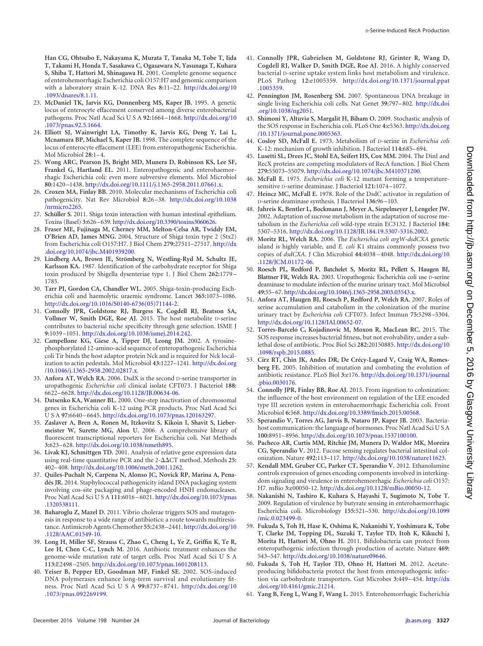**Han CG, Ohtsubo E, Nakayama K, Murata T, Tanaka M, Tobe T, Iida T, Takami H, Honda T, Sasakawa C, Ogasawara N, Yasunaga T, Kuhara S, Shiba T, Hattori M, Shinagawa H.** 2001. Complete genome sequence of enterohemorrhagic Escherichia coli O157:H7 and genomic comparison with a laboratory strain K-12. DNA Res **8:**11–22. [http://dx.doi.org/10](http://dx.doi.org/10.1093/dnares/8.1.11) [.1093/dnares/8.1.11.](http://dx.doi.org/10.1093/dnares/8.1.11)

- <span id="page-9-0"></span>23. **McDaniel TK, Jarvis KG, Donnenberg MS, Kaper JB.** 1995. A genetic locus of enterocyte effacement conserved among diverse enterobacterial pathogens. Proc Natl Acad SciUSA **92:**1664 –1668. [http://dx.doi.org/10](http://dx.doi.org/10.1073/pnas.92.5.1664) [.1073/pnas.92.5.1664.](http://dx.doi.org/10.1073/pnas.92.5.1664)
- <span id="page-9-1"></span>24. **Elliott SJ, Wainwright LA, Timothy K, Jarvis KG, Deng Y, Lai L, Mcnamara BP, Michael S, Kaper JB.** 1998. The complete sequence of the locus of enterocyte effacement (LEE) from enteropathogenic Escherichia. Mol Microbiol **28:**1– 4.
- <span id="page-9-2"></span>25. **Wong ARC, Pearson JS, Bright MD, Munera D, Robinson KS, Lee SF, Frankel G, Hartland EL.** 2011. Enteropathogenic and enterohaemorrhagic Escherichia coli: even more subversive elements. Mol Microbiol **80:**1420 –1438. [http://dx.doi.org/10.1111/j.1365-2958.2011.07661.x.](http://dx.doi.org/10.1111/j.1365-2958.2011.07661.x)
- <span id="page-9-3"></span>26. **Croxen MA, Finlay BB.** 2010. Molecular mechanisms of Escherichia coli pathogenicity. Nat Rev Microbiol **8:**26 –38. [http://dx.doi.org/10.1038](http://dx.doi.org/10.1038/nrmicro2265) [/nrmicro2265.](http://dx.doi.org/10.1038/nrmicro2265)
- <span id="page-9-5"></span><span id="page-9-4"></span>27. **Schüller S.** 2011. Shiga toxin interaction with human intestinal epithelium. Toxins (Basel) **3:**626–639. [http://dx.doi.org/10.3390/toxins3060626.](http://dx.doi.org/10.3390/toxins3060626)
- 28. **Fraser ME, Fujinaga M, Cherney MM, Melton-Celsa AR, Twiddy EM, O'Brien AD, James MNG.** 2004. Structure of Shiga toxin type 2 (Stx2) from Escherichia coli O157:H7. J Biol Chem **279:**27511–27517. [http://dx](http://dx.doi.org/10.1074/jbc.M401939200) [.doi.org/10.1074/jbc.M401939200.](http://dx.doi.org/10.1074/jbc.M401939200)
- <span id="page-9-6"></span>29. **Lindberg AA, Brown JE, Strömberg N, Westling-Ryd M, Schultz JE, Karlsson KA.** 1987. Identification of the carbohydrate receptor for Shiga toxin produced by Shigella dysenteriae type 1. J Biol Chem **262:**1779 – 1785.
- <span id="page-9-7"></span>30. **Tarr PI, Gordon CA, Chandler WL.** 2005. Shiga-toxin-producing Escherichia coli and haemolytic uraemic syndrome. Lancet **365:**1073–1086. [http://dx.doi.org/10.1016/S0140-6736\(05\)71144-2.](http://dx.doi.org/10.1016/S0140-6736(05)71144-2)
- <span id="page-9-8"></span>31. **Connolly JPR, Goldstone RJ, Burgess K, Cogdell RJ, Beatson SA, Vollmer W, Smith DGE, Roe AJ.** 2015. The host metabolite D-serine contributes to bacterial niche specificity through gene selection. ISME J **9:**1039 –1051. [http://dx.doi.org/10.1038/ismej.2014.242.](http://dx.doi.org/10.1038/ismej.2014.242)
- <span id="page-9-9"></span>32. **Campellone KG, Giese A, Tipper DJ, Leong JM.** 2002. A tyrosinephosphorylated 12-amino-acid sequence of enteropathogenic Escherichia coli Tir binds the host adaptor protein Nck and is required for Nck localization to actin pedestals. Mol Microbiol **43:**1227–1241. [http://dx.doi.org](http://dx.doi.org/10.1046/j.1365-2958.2002.02817.x) [/10.1046/j.1365-2958.2002.02817.x.](http://dx.doi.org/10.1046/j.1365-2958.2002.02817.x)
- <span id="page-9-11"></span><span id="page-9-10"></span>33. **Anfora AT, Welch RA.** 2006. DsdX is the second D-serine transporter in uropathogenic *Escherichia coli* clinical isolate CFT073. J Bacteriol **188:** 6622– 6628. [http://dx.doi.org/10.1128/JB.00634-06.](http://dx.doi.org/10.1128/JB.00634-06)
- <span id="page-9-12"></span>34. **Datsenko KA, Wanner BL.** 2000. One-step inactivation of chromosomal genes in Escherichia coli K-12 using PCR products. Proc Natl Acad Sci USA **97:**6640 – 6645. [http://dx.doi.org/10.1073/pnas.120163297.](http://dx.doi.org/10.1073/pnas.120163297)
- 35. **Zaslaver A, Bren A, Ronen M, Itzkovitz S, Kikoin I, Shavit S, Liebermeister W, Surette MG, Alon U.** 2006. A comprehensive library of fluorescent transcriptional reporters for Escherichia coli. Nat Methods **3:**623– 628. [http://dx.doi.org/10.1038/nmeth895.](http://dx.doi.org/10.1038/nmeth895)
- <span id="page-9-14"></span><span id="page-9-13"></span>36. **Livak KJ, Schmittgen TD.** 2001. Analysis of relative gene expression data using real-time quantitative PCR and the 2- $\Delta\Delta$ CT method. Methods 25: 402– 408. [http://dx.doi.org/10.1006/meth.2001.1262.](http://dx.doi.org/10.1006/meth.2001.1262)
- 37. **Quiles-Puchalt N, Carpena N, Alonso JC, Novick RP, Marina A, Penadés JR.** 2014. Staphylococcal pathogenicity island DNA packaging system involving cos-site packaging and phage-encoded HNH endonucleases. Proc Natl Acad SciUSA **111:**6016 – 6021. [http://dx.doi.org/10.1073/pnas](http://dx.doi.org/10.1073/pnas.1320538111) [.1320538111.](http://dx.doi.org/10.1073/pnas.1320538111)
- <span id="page-9-15"></span>38. **Baharoglu Z, Mazel D.** 2011. Vibrio cholerae triggers SOS and mutagenesis in response to a wide range of antibiotics: a route towards multiresistance. Antimicrob Agents Chemother **55:**2438 –2441. [http://dx.doi.org/10](http://dx.doi.org/10.1128/AAC.01549-10) [.1128/AAC.01549-10.](http://dx.doi.org/10.1128/AAC.01549-10)
- <span id="page-9-16"></span>39. **Long H, Miller SF, Strauss C, Zhao C, Cheng L, Ye Z, Griffin K, Te R, Lee H, Chen C-C, Lynch M.** 2016. Antibiotic treatment enhances the genome-wide mutation rate of target cells. Proc Natl Acad Sci U S A **113:**E2498 –2505. [http://dx.doi.org/10.1073/pnas.1601208113.](http://dx.doi.org/10.1073/pnas.1601208113)
- <span id="page-9-17"></span>40. **Yeiser B, Pepper ED, Goodman MF, Finkel SE.** 2002. SOS-induced DNA polymerases enhance long-term survival and evolutionary fitness. Proc Natl Acad SciUSA **99:**8737– 8741. [http://dx.doi.org/10](http://dx.doi.org/10.1073/pnas.092269199) [.1073/pnas.092269199.](http://dx.doi.org/10.1073/pnas.092269199)
- <span id="page-9-18"></span>41. **Connolly JPR, Gabrielsen M, Goldstone RJ, Grinter R, Wang D, Cogdell RJ, Walker D, Smith DGE, Roe AJ.** 2016. A highly conserved bacterial D-serine uptake system links host metabolism and virulence. PLoS Pathog **12:**e1005359. [http://dx.doi.org/10.1371/journal.ppat](http://dx.doi.org/10.1371/journal.ppat.1005359) [.1005359.](http://dx.doi.org/10.1371/journal.ppat.1005359)
- <span id="page-9-19"></span>42. **Pennington JM, Rosenberg SM.** 2007. Spontaneous DNA breakage in single living Escherichia coli cells. Nat Genet **39:**797– 802. [http://dx.doi](http://dx.doi.org/10.1038/ng2051) [.org/10.1038/ng2051.](http://dx.doi.org/10.1038/ng2051)
- <span id="page-9-20"></span>43. **Shimoni Y, Altuvia S, Margalit H, Biham O.** 2009. Stochastic analysis of the SOS response in Escherichia coli. PLoS One **4:**e5363. [http://dx.doi.org](http://dx.doi.org/10.1371/journal.pone.0005363) [/10.1371/journal.pone.0005363.](http://dx.doi.org/10.1371/journal.pone.0005363)
- <span id="page-9-22"></span><span id="page-9-21"></span>44. **Cosloy SD, McFall E.** 1973. Metabolism of D-serine in *Escherichia coli* K-12: mechanism of growth inhibition. J Bacteriol **114:**685– 694.
- 45. **Lusetti SL, Drees JC, Stohl EA, Seifert HS, Cox MM.** 2004. The DinI and RecX proteins are competing modulators of RecA function. J Biol Chem **279:**55073–55079. [http://dx.doi.org/10.1074/jbc.M410371200.](http://dx.doi.org/10.1074/jbc.M410371200)
- <span id="page-9-23"></span>46. **McFall E.** 1975. *Escherichia coli* K-12 mutant forming a temperaturesensitive D-serine deaminase. J Bacteriol **121:**1074 –1077.
- <span id="page-9-24"></span>47. **Heincz MC, McFall E.** 1978. Role of the DsdC activator in regulation of D-serine deaminase synthesis. J Bacteriol **136:**96 –103.
- 48. **Jahreis K, Bentler L, Bockmann J, Meyer A, Siepelmeyer J, Lengeler JW.** 2002. Adaptation of sucrose metabolism in the adaptation of sucrose metabolism in the *Escherichia coli* wild-type strain EC3132. J Bacteriol **184:** 5307–5316. [http://dx.doi.org/10.1128/JB.184.19.5307-5316.2002.](http://dx.doi.org/10.1128/JB.184.19.5307-5316.2002)
- <span id="page-9-25"></span>49. **Moritz RL, Welch RA.** 2006. The *Escherichia coli argW-dsdCXA* genetic island is highly variable, and *E. coli* K1 strains commonly possess two copies of *dsdCXA*. J Clin Microbiol **44:**4038 – 4048. [http://dx.doi.org/10](http://dx.doi.org/10.1128/JCM.01172-06) [.1128/JCM.01172-06.](http://dx.doi.org/10.1128/JCM.01172-06)
- <span id="page-9-26"></span>50. **Roesch PL, Redford P, Batchelet S, Moritz RL, Pellett S, Haugen BJ, Blattner FR, Welch RA.** 2003. Uropathogenic Escherichia coli use D-serine deaminase to modulate infection of the murine urinary tract. Mol Microbiol **49:**55–67. [http://dx.doi.org/10.1046/j.1365-2958.2003.03543.x.](http://dx.doi.org/10.1046/j.1365-2958.2003.03543.x)
- <span id="page-9-27"></span>51. **Anfora AT, Haugen BJ, Roesch P, Redford P, Welch RA.** 2007. Roles of serine accumulation and catabolism in the colonization of the murine urinary tract by *Escherichia coli* CFT073. Infect Immun **75:**5298 –5304. [http://dx.doi.org/10.1128/IAI.00652-07.](http://dx.doi.org/10.1128/IAI.00652-07)
- <span id="page-9-28"></span>52. **Torres-Barceló C, Kojadinovic M, Moxon R, MacLean RC.** 2015. The SOS response increases bacterial fitness, but not evolvability, under a sublethal dose of antibiotic. Proc Biol Sci **282:**20150885. [http://dx.doi.org/10](http://dx.doi.org/10.1098/rspb.2015.0885) [.1098/rspb.2015.0885.](http://dx.doi.org/10.1098/rspb.2015.0885)
- <span id="page-9-29"></span>53. **Cirz RT, Chin JK, Andes DR, De Crécy-Lagard V, Craig WA, Romesberg FE.** 2005. Inhibition of mutation and combating the evolution of antibiotic resistance. PLoS Biol **3:**e176. [http://dx.doi.org/10.1371/journal](http://dx.doi.org/10.1371/journal.pbio.0030176) [.pbio.0030176.](http://dx.doi.org/10.1371/journal.pbio.0030176)
- <span id="page-9-30"></span>54. **Connolly JPR, Finlay BB, Roe AJ.** 2015. From ingestion to colonization: the influence of the host environment on regulation of the LEE encoded type III secretion system in enterohaemorrhagic Escherichia coli. Front Microbiol **6:**568. [http://dx.doi.org/10.3389/fmicb.2015.00568.](http://dx.doi.org/10.3389/fmicb.2015.00568)
- <span id="page-9-31"></span>55. **Sperandio V, Torres AG, Jarvis B, Nataro JP, Kaper JB.** 2003. Bacteriahost communication: the language of hormones. Proc Natl Acad Sci U S A **100:**8951– 8956. [http://dx.doi.org/10.1073/pnas.1537100100.](http://dx.doi.org/10.1073/pnas.1537100100)
- <span id="page-9-32"></span>56. **Pacheco AR, Curtis MM, Ritchie JM, Munera D, Waldor MK, Moreira CG, Sperandio V.** 2012. Fucose sensing regulates bacterial intestinal colonization. Nature **492:**113–117. [http://dx.doi.org/10.1038/nature11623.](http://dx.doi.org/10.1038/nature11623)
- 57. **Kendall MM, Gruber CC, Parker CT, Sperandio V.** 2012. Ethanolamine controls expression of genes encoding components involved in interkingdom signaling and virulence in enterohemorrhagic *Escherichia coli* O157: H7. mBio **3:**e00050-12. [http://dx.doi.org/10.1128/mBio.00050-12.](http://dx.doi.org/10.1128/mBio.00050-12)
- <span id="page-9-33"></span>58. **Nakanishi N, Tashiro K, Kuhara S, Hayashi T, Sugimoto N, Tobe T.** 2009. Regulation of virulence by butyrate sensing in enterohaemorrhagic Escherichia coli. Microbiology **155:**521–530. [http://dx.doi.org/10.1099](http://dx.doi.org/10.1099/mic.0.023499-0) [/mic.0.023499-0.](http://dx.doi.org/10.1099/mic.0.023499-0)
- <span id="page-9-34"></span>59. **Fukuda S, Toh H, Hase K, Oshima K, Nakanishi Y, Yoshimura K, Tobe T, Clarke JM, Topping DL, Suzuki T, Taylor TD, Itoh K, Kikuchi J, Morita H, Hattori M, Ohno H.** 2011. Bifidobacteria can protect from enteropathogenic infection through production of acetate. Nature **469:** 543–547. [http://dx.doi.org/10.1038/nature09646.](http://dx.doi.org/10.1038/nature09646)
- <span id="page-9-35"></span>60. **Fukuda S, Toh H, Taylor TD, Ohno H, Hattori M.** 2012. Acetateproducing bifidobacteria protect the host from enteropathogenic infection via carbohydrate transporters. Gut Microbes **3:**449 – 454. [http://dx](http://dx.doi.org/10.4161/gmic.21214) [.doi.org/10.4161/gmic.21214.](http://dx.doi.org/10.4161/gmic.21214)
- <span id="page-9-36"></span>61. **Yang B, Feng L, Wang F, Wang L.** 2015. Enterohemorrhagic Escherichia